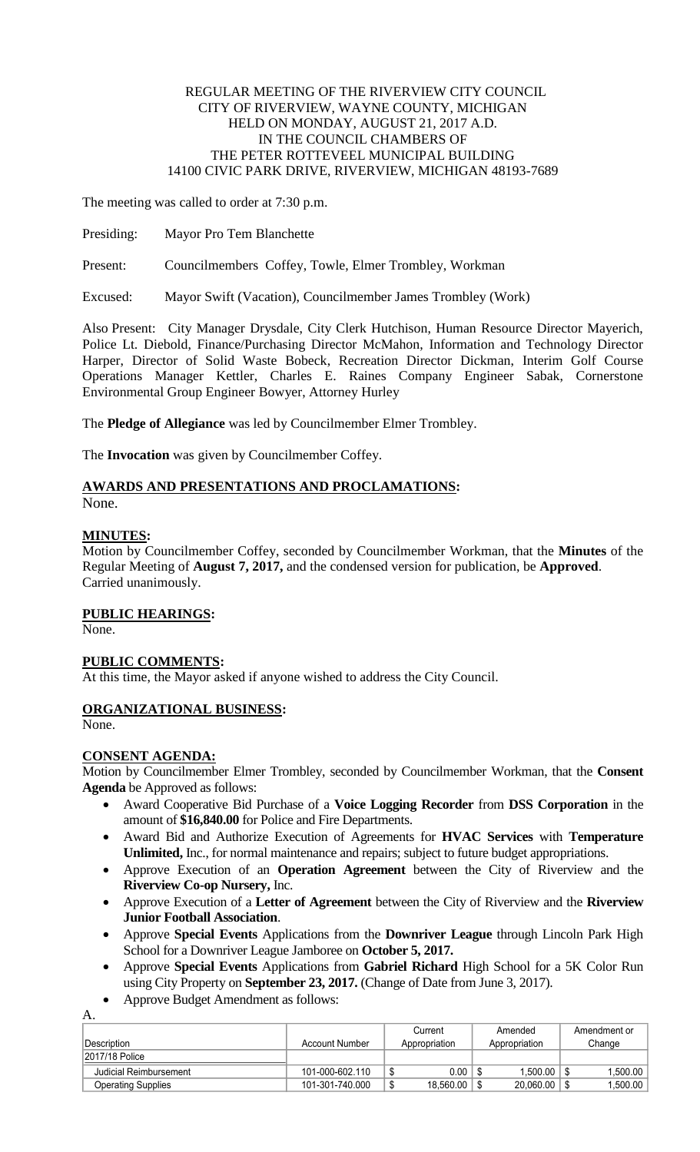## REGULAR MEETING OF THE RIVERVIEW CITY COUNCIL CITY OF RIVERVIEW, WAYNE COUNTY, MICHIGAN HELD ON MONDAY, AUGUST 21, 2017 A.D. IN THE COUNCIL CHAMBERS OF THE PETER ROTTEVEEL MUNICIPAL BUILDING 14100 CIVIC PARK DRIVE, RIVERVIEW, MICHIGAN 48193-7689

The meeting was called to order at 7:30 p.m.

Presiding: Mayor Pro Tem Blanchette

Present: Councilmembers Coffey, Towle, Elmer Trombley, Workman

Excused: Mayor Swift (Vacation), Councilmember James Trombley (Work)

Also Present: City Manager Drysdale, City Clerk Hutchison, Human Resource Director Mayerich, Police Lt. Diebold, Finance/Purchasing Director McMahon, Information and Technology Director Harper, Director of Solid Waste Bobeck, Recreation Director Dickman, Interim Golf Course Operations Manager Kettler, Charles E. Raines Company Engineer Sabak, Cornerstone Environmental Group Engineer Bowyer, Attorney Hurley

The **Pledge of Allegiance** was led by Councilmember Elmer Trombley.

The **Invocation** was given by Councilmember Coffey.

# **AWARDS AND PRESENTATIONS AND PROCLAMATIONS:**

None.

## **MINUTES:**

Motion by Councilmember Coffey, seconded by Councilmember Workman, that the **Minutes** of the Regular Meeting of **August 7, 2017,** and the condensed version for publication, be **Approved**. Carried unanimously.

## **PUBLIC HEARINGS:**

None.

## **PUBLIC COMMENTS:**

At this time, the Mayor asked if anyone wished to address the City Council.

## **ORGANIZATIONAL BUSINESS:**

None.

## **CONSENT AGENDA:**

Motion by Councilmember Elmer Trombley, seconded by Councilmember Workman, that the **Consent Agenda** be Approved as follows:

- Award Cooperative Bid Purchase of a **Voice Logging Recorder** from **DSS Corporation** in the amount of **\$16,840.00** for Police and Fire Departments.
- Award Bid and Authorize Execution of Agreements for **HVAC Services** with **Temperature Unlimited,** Inc., for normal maintenance and repairs; subject to future budget appropriations.
- Approve Execution of an **Operation Agreement** between the City of Riverview and the **Riverview Co-op Nursery,** Inc.
- Approve Execution of a **Letter of Agreement** between the City of Riverview and the **Riverview Junior Football Association**.
- Approve **Special Events** Applications from the **Downriver League** through Lincoln Park High School for a Downriver League Jamboree on **October 5, 2017.**
- Approve **Special Events** Applications from **Gabriel Richard** High School for a 5K Color Run using City Property on **September 23, 2017.** (Change of Date from June 3, 2017).
- Approve Budget Amendment as follows:

A. Description **Account Number** Account Number **Current** Appropriation Amended Appropriation Amendment or Change 2017/18 Police Judicial Reimbursement 101-000-602.110 \$ 0.00 \$ 1,500.00 \$ 1,500.00 Operating Supplies 1,500.00 | 101-301-740.000 | \$ 18,560.00 | \$ 20,060.00 | \$ 1,500.00 | \$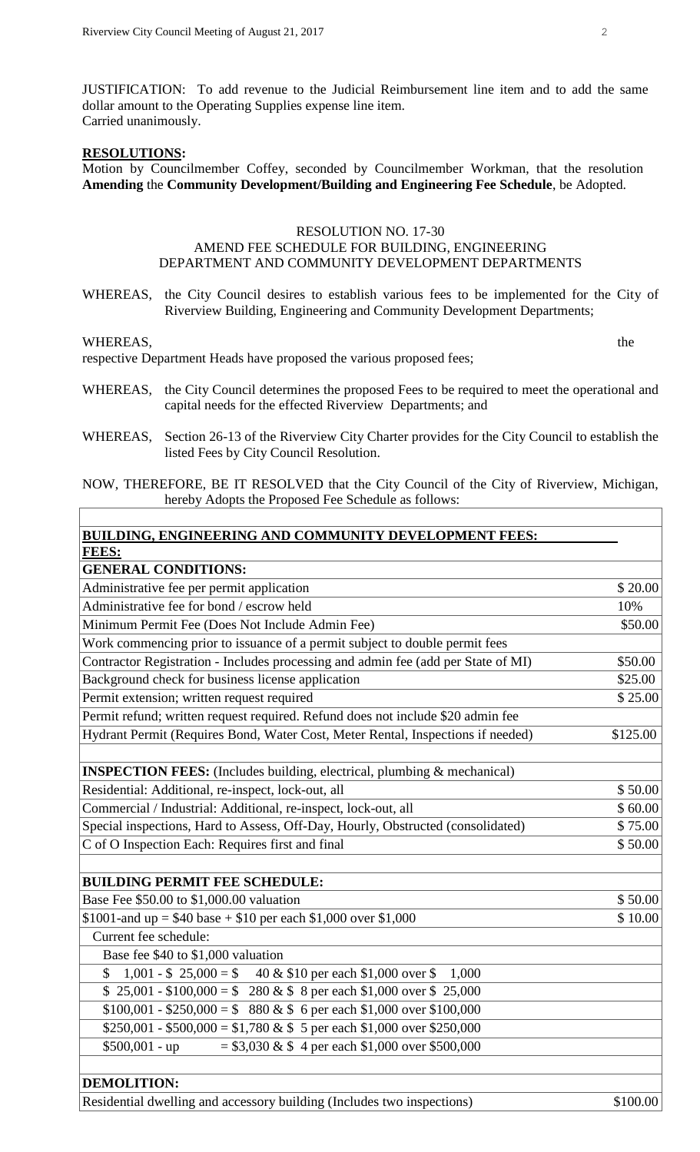JUSTIFICATION: To add revenue to the Judicial Reimbursement line item and to add the same dollar amount to the Operating Supplies expense line item. Carried unanimously.

#### **RESOLUTIONS:**

Motion by Councilmember Coffey, seconded by Councilmember Workman, that the resolution **Amending** the **Community Development/Building and Engineering Fee Schedule**, be Adopted.

#### RESOLUTION NO. 17-30

## AMEND FEE SCHEDULE FOR BUILDING, ENGINEERING DEPARTMENT AND COMMUNITY DEVELOPMENT DEPARTMENTS

WHEREAS, the City Council desires to establish various fees to be implemented for the City of Riverview Building, Engineering and Community Development Departments;

#### WHEREAS, the state of the state of the state of the state of the state of the state of the state of the state of the state of the state of the state of the state of the state of the state of the state of the state of the s

respective Department Heads have proposed the various proposed fees;

- WHEREAS, the City Council determines the proposed Fees to be required to meet the operational and capital needs for the effected Riverview Departments; and
- WHEREAS, Section 26-13 of the Riverview City Charter provides for the City Council to establish the listed Fees by City Council Resolution.
- NOW, THEREFORE, BE IT RESOLVED that the City Council of the City of Riverview, Michigan, hereby Adopts the Proposed Fee Schedule as follows:

| BUILDING, ENGINEERING AND COMMUNITY DEVELOPMENT FEES:                             |          |  |
|-----------------------------------------------------------------------------------|----------|--|
| FEES:                                                                             |          |  |
| <b>GENERAL CONDITIONS:</b>                                                        |          |  |
| Administrative fee per permit application                                         | \$20.00  |  |
| Administrative fee for bond / escrow held                                         | 10%      |  |
| Minimum Permit Fee (Does Not Include Admin Fee)                                   | \$50.00  |  |
| Work commencing prior to issuance of a permit subject to double permit fees       |          |  |
| Contractor Registration - Includes processing and admin fee (add per State of MI) | \$50.00  |  |
| Background check for business license application                                 | \$25.00  |  |
| Permit extension; written request required                                        | \$25.00  |  |
| Permit refund; written request required. Refund does not include \$20 admin fee   |          |  |
| Hydrant Permit (Requires Bond, Water Cost, Meter Rental, Inspections if needed)   | \$125.00 |  |
|                                                                                   |          |  |
| <b>INSPECTION FEES:</b> (Includes building, electrical, plumbing & mechanical)    |          |  |
| Residential: Additional, re-inspect, lock-out, all                                | \$50.00  |  |
| Commercial / Industrial: Additional, re-inspect, lock-out, all                    | \$60.00  |  |
| Special inspections, Hard to Assess, Off-Day, Hourly, Obstructed (consolidated)   | \$75.00  |  |
| C of O Inspection Each: Requires first and final                                  | \$50.00  |  |
|                                                                                   |          |  |
| <b>BUILDING PERMIT FEE SCHEDULE:</b>                                              |          |  |
| Base Fee \$50.00 to \$1,000.00 valuation                                          | \$50.00  |  |
| \$1001-and up = \$40 base + \$10 per each \$1,000 over \$1,000                    | \$10.00  |  |
| Current fee schedule:                                                             |          |  |
| Base fee \$40 to \$1,000 valuation                                                |          |  |
| 1,001 - \$ 25,000 = \$ 40 & \$10 per each \$1,000 over \$<br>\$<br>1,000          |          |  |
| $$25,001 - $100,000 = $280 \& $8 \text{ per each $1,000 over $25,000}$            |          |  |
| $$100,001 - $250,000 = $880 \& $6 per each $1,000 over $100,000$                  |          |  |
| $$250,001 - $500,000 = $1,780 \& $5$ per each \$1,000 over \$250,000              |          |  |
| $$500,001 - up$<br>$= $3,030 \& $4$ per each \$1,000 over \$500,000               |          |  |
|                                                                                   |          |  |
| <b>DEMOLITION:</b>                                                                |          |  |

Residential dwelling and accessory building (Includes two inspections) \$100.00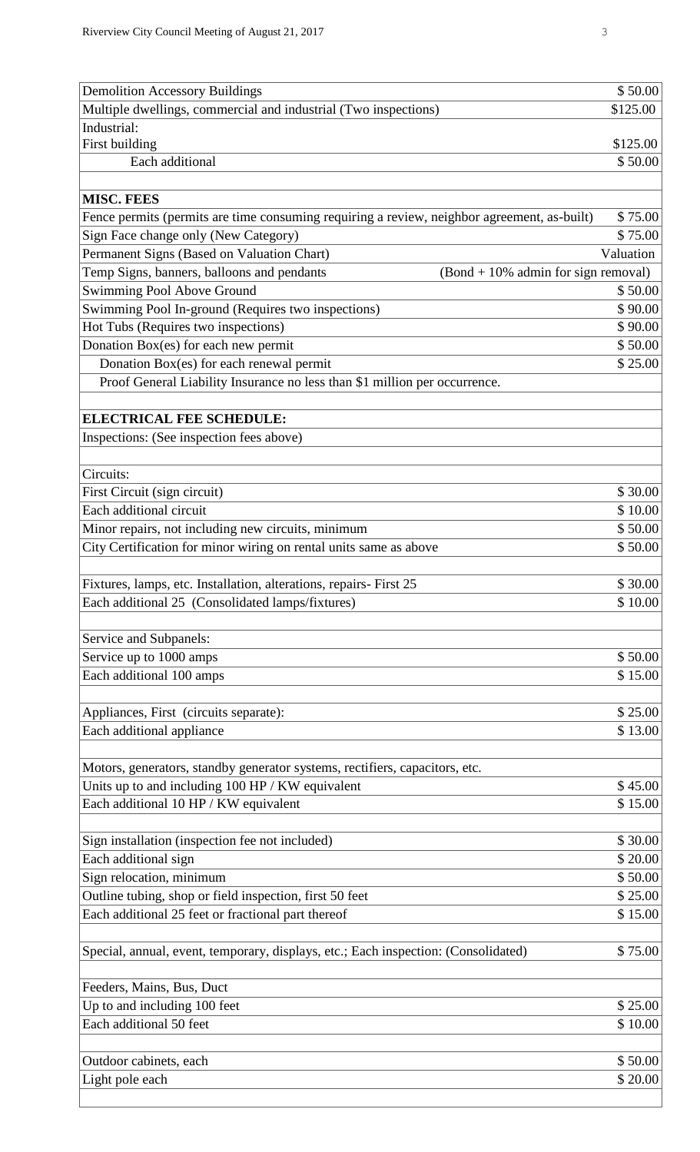| <b>Demolition Accessory Buildings</b>                                                                                   | \$50.00   |
|-------------------------------------------------------------------------------------------------------------------------|-----------|
| Multiple dwellings, commercial and industrial (Two inspections)                                                         | \$125.00  |
| Industrial:                                                                                                             |           |
| First building                                                                                                          | \$125.00  |
| Each additional                                                                                                         | \$50.00   |
|                                                                                                                         |           |
| <b>MISC. FEES</b>                                                                                                       |           |
| Fence permits (permits are time consuming requiring a review, neighbor agreement, as-built)                             | \$75.00   |
| Sign Face change only (New Category)                                                                                    | \$75.00   |
| Permanent Signs (Based on Valuation Chart)                                                                              | Valuation |
| Temp Signs, banners, balloons and pendants<br>$(Bond + 10\%$ admin for sign removal)                                    |           |
| Swimming Pool Above Ground                                                                                              | \$50.00   |
| Swimming Pool In-ground (Requires two inspections)                                                                      | \$90.00   |
| Hot Tubs (Requires two inspections)                                                                                     | \$90.00   |
| Donation Box(es) for each new permit                                                                                    | \$50.00   |
| Donation Box(es) for each renewal permit                                                                                | \$25.00   |
| Proof General Liability Insurance no less than \$1 million per occurrence.                                              |           |
|                                                                                                                         |           |
| <b>ELECTRICAL FEE SCHEDULE:</b>                                                                                         |           |
| Inspections: (See inspection fees above)                                                                                |           |
| Circuits:                                                                                                               |           |
|                                                                                                                         | \$30.00   |
| First Circuit (sign circuit)<br>Each additional circuit                                                                 | \$10.00   |
|                                                                                                                         | \$50.00   |
| Minor repairs, not including new circuits, minimum<br>City Certification for minor wiring on rental units same as above | \$50.00   |
|                                                                                                                         |           |
| Fixtures, lamps, etc. Installation, alterations, repairs- First 25                                                      | \$30.00   |
| Each additional 25 (Consolidated lamps/fixtures)                                                                        | \$10.00   |
|                                                                                                                         |           |
| Service and Subpanels:                                                                                                  |           |
| Service up to 1000 amps                                                                                                 | \$50.00   |
| Each additional 100 amps                                                                                                | \$15.00   |
|                                                                                                                         |           |
| Appliances, First (circuits separate):                                                                                  | \$25.00   |
| Each additional appliance                                                                                               | \$13.00   |
|                                                                                                                         |           |
| Motors, generators, standby generator systems, rectifiers, capacitors, etc.                                             |           |
| Units up to and including 100 HP / KW equivalent                                                                        | \$45.00   |
| Each additional 10 HP / KW equivalent                                                                                   | \$15.00   |
|                                                                                                                         |           |
| Sign installation (inspection fee not included)                                                                         | \$30.00   |
| Each additional sign                                                                                                    | \$20.00   |
| Sign relocation, minimum                                                                                                | \$50.00   |
| Outline tubing, shop or field inspection, first 50 feet                                                                 | \$25.00   |
| Each additional 25 feet or fractional part thereof                                                                      | \$15.00   |
|                                                                                                                         |           |
| Special, annual, event, temporary, displays, etc.; Each inspection: (Consolidated)                                      | \$75.00   |
|                                                                                                                         |           |
| Feeders, Mains, Bus, Duct                                                                                               |           |
| Up to and including 100 feet                                                                                            | \$25.00   |
| Each additional 50 feet                                                                                                 | \$10.00   |
|                                                                                                                         |           |
| Outdoor cabinets, each                                                                                                  | \$50.00   |
| Light pole each                                                                                                         | \$20.00   |
|                                                                                                                         |           |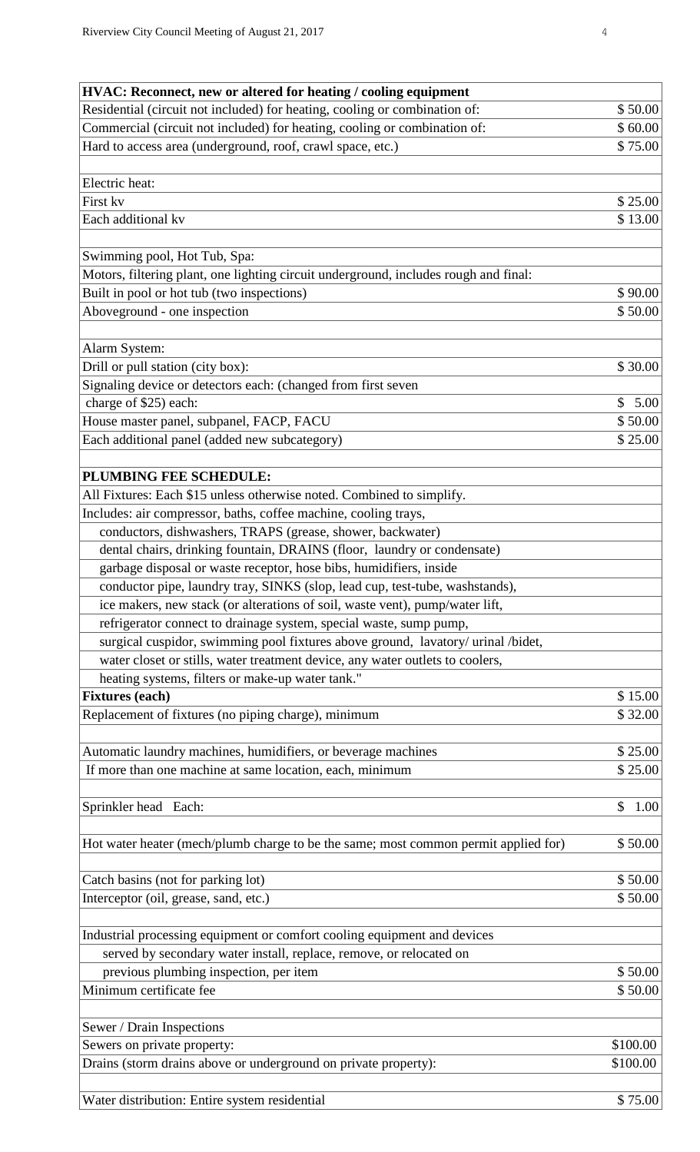| HVAC: Reconnect, new or altered for heating / cooling equipment                      |                      |
|--------------------------------------------------------------------------------------|----------------------|
| Residential (circuit not included) for heating, cooling or combination of:           | \$50.00              |
| Commercial (circuit not included) for heating, cooling or combination of:            | \$60.00              |
| Hard to access area (underground, roof, crawl space, etc.)                           | \$75.00              |
|                                                                                      |                      |
| Electric heat:                                                                       |                      |
| First kv                                                                             | \$25.00              |
| Each additional kv                                                                   | \$13.00              |
|                                                                                      |                      |
| Swimming pool, Hot Tub, Spa:                                                         |                      |
| Motors, filtering plant, one lighting circuit underground, includes rough and final: |                      |
| Built in pool or hot tub (two inspections)                                           | \$90.00              |
| Aboveground - one inspection                                                         | \$50.00              |
|                                                                                      |                      |
| Alarm System:                                                                        |                      |
| Drill or pull station (city box):                                                    | \$30.00              |
| Signaling device or detectors each: (changed from first seven                        |                      |
| charge of \$25) each:                                                                | $\mathbb{S}$<br>5.00 |
| House master panel, subpanel, FACP, FACU                                             | \$50.00              |
| Each additional panel (added new subcategory)                                        | \$25.00              |
|                                                                                      |                      |
| PLUMBING FEE SCHEDULE:                                                               |                      |
| All Fixtures: Each \$15 unless otherwise noted. Combined to simplify.                |                      |
| Includes: air compressor, baths, coffee machine, cooling trays,                      |                      |
| conductors, dishwashers, TRAPS (grease, shower, backwater)                           |                      |
| dental chairs, drinking fountain, DRAINS (floor, laundry or condensate)              |                      |
| garbage disposal or waste receptor, hose bibs, humidifiers, inside                   |                      |
| conductor pipe, laundry tray, SINKS (slop, lead cup, test-tube, washstands),         |                      |
| ice makers, new stack (or alterations of soil, waste vent), pump/water lift,         |                      |
| refrigerator connect to drainage system, special waste, sump pump,                   |                      |
| surgical cuspidor, swimming pool fixtures above ground, lavatory/ urinal /bidet,     |                      |
| water closet or stills, water treatment device, any water outlets to coolers,        |                      |
| heating systems, filters or make-up water tank."                                     |                      |
| <b>Fixtures</b> (each)                                                               | \$15.00              |
| Replacement of fixtures (no piping charge), minimum                                  | \$32.00              |
|                                                                                      |                      |
| Automatic laundry machines, humidifiers, or beverage machines                        | \$25.00              |
| If more than one machine at same location, each, minimum                             | \$25.00              |
|                                                                                      |                      |
| Sprinkler head Each:                                                                 | \$<br>1.00           |
|                                                                                      |                      |
| Hot water heater (mech/plumb charge to be the same; most common permit applied for)  | \$50.00              |
|                                                                                      |                      |
| Catch basins (not for parking lot)                                                   | \$50.00              |
| Interceptor (oil, grease, sand, etc.)                                                | \$50.00              |
|                                                                                      |                      |
| Industrial processing equipment or comfort cooling equipment and devices             |                      |
| served by secondary water install, replace, remove, or relocated on                  |                      |
| previous plumbing inspection, per item                                               | \$50.00              |
| Minimum certificate fee                                                              | \$50.00              |
|                                                                                      |                      |
| Sewer / Drain Inspections                                                            |                      |
| Sewers on private property:                                                          | \$100.00             |
| Drains (storm drains above or underground on private property):                      | \$100.00             |
|                                                                                      |                      |
| Water distribution: Entire system residential                                        | \$75.00              |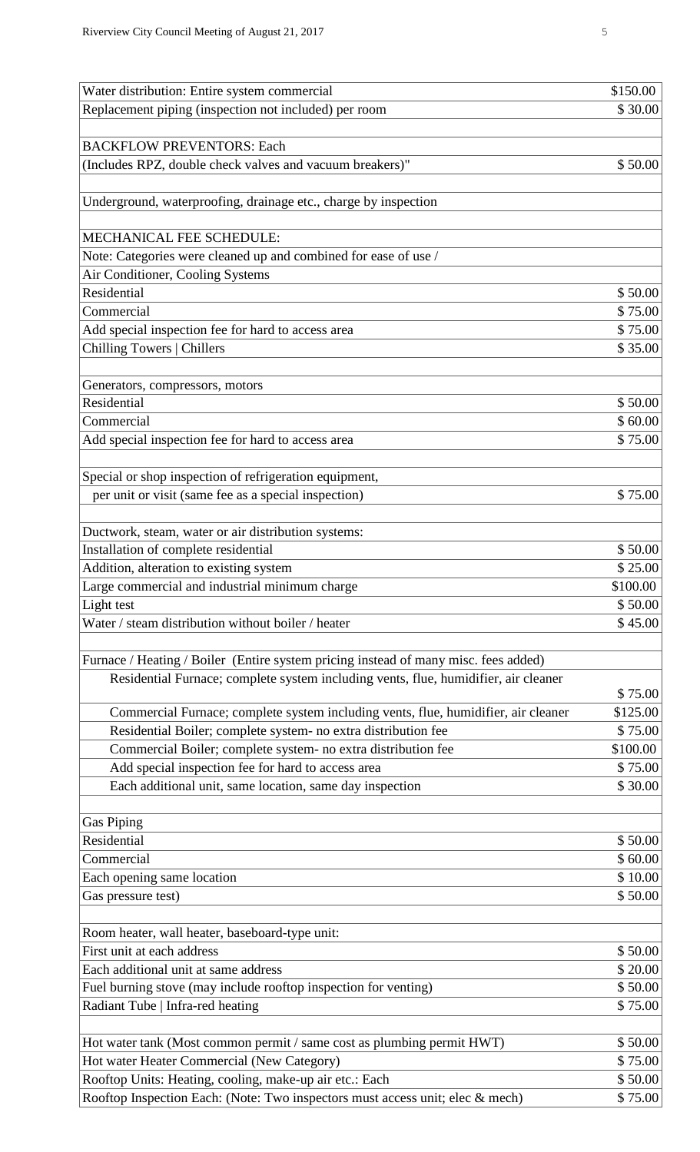| Water distribution: Entire system commercial                                                        | \$150.00            |
|-----------------------------------------------------------------------------------------------------|---------------------|
| Replacement piping (inspection not included) per room                                               | \$30.00             |
|                                                                                                     |                     |
| <b>BACKFLOW PREVENTORS: Each</b>                                                                    |                     |
| (Includes RPZ, double check valves and vacuum breakers)"                                            | \$50.00             |
|                                                                                                     |                     |
| Underground, waterproofing, drainage etc., charge by inspection                                     |                     |
|                                                                                                     |                     |
| MECHANICAL FEE SCHEDULE:                                                                            |                     |
| Note: Categories were cleaned up and combined for ease of use /<br>Air Conditioner, Cooling Systems |                     |
| Residential                                                                                         | \$50.00             |
| Commercial                                                                                          | \$75.00             |
| Add special inspection fee for hard to access area                                                  | \$75.00             |
| <b>Chilling Towers   Chillers</b>                                                                   | \$35.00             |
|                                                                                                     |                     |
| Generators, compressors, motors                                                                     |                     |
| Residential                                                                                         | \$50.00             |
| Commercial                                                                                          | \$60.00             |
| Add special inspection fee for hard to access area                                                  | \$75.00             |
|                                                                                                     |                     |
| Special or shop inspection of refrigeration equipment,                                              |                     |
| per unit or visit (same fee as a special inspection)                                                | \$75.00             |
|                                                                                                     |                     |
| Ductwork, steam, water or air distribution systems:                                                 |                     |
| Installation of complete residential                                                                | \$50.00             |
| Addition, alteration to existing system                                                             | \$25.00             |
| Large commercial and industrial minimum charge                                                      | \$100.00<br>\$50.00 |
| Light test<br>Water / steam distribution without boiler / heater                                    | \$45.00             |
|                                                                                                     |                     |
| Furnace / Heating / Boiler (Entire system pricing instead of many misc. fees added)                 |                     |
| Residential Furnace; complete system including vents, flue, humidifier, air cleaner                 |                     |
|                                                                                                     | \$75.00             |
| Commercial Furnace; complete system including vents, flue, humidifier, air cleaner                  | \$125.00            |
| Residential Boiler; complete system- no extra distribution fee                                      | \$75.00             |
| Commercial Boiler; complete system- no extra distribution fee                                       | \$100.00            |
| Add special inspection fee for hard to access area                                                  | \$75.00             |
| Each additional unit, same location, same day inspection                                            | \$30.00             |
|                                                                                                     |                     |
| <b>Gas Piping</b>                                                                                   |                     |
| Residential                                                                                         | \$50.00             |
| Commercial                                                                                          | \$60.00             |
| Each opening same location                                                                          | \$10.00             |
| Gas pressure test)                                                                                  | \$50.00             |
| Room heater, wall heater, baseboard-type unit:                                                      |                     |
| First unit at each address                                                                          | \$50.00             |
| Each additional unit at same address                                                                | \$20.00             |
| Fuel burning stove (may include rooftop inspection for venting)                                     | \$50.00             |
| Radiant Tube   Infra-red heating                                                                    | \$75.00             |
|                                                                                                     |                     |
| Hot water tank (Most common permit / same cost as plumbing permit HWT)                              | \$50.00             |
| Hot water Heater Commercial (New Category)                                                          | \$75.00             |
| Rooftop Units: Heating, cooling, make-up air etc.: Each                                             | \$50.00             |
| Rooftop Inspection Each: (Note: Two inspectors must access unit; elec & mech)                       | \$75.00             |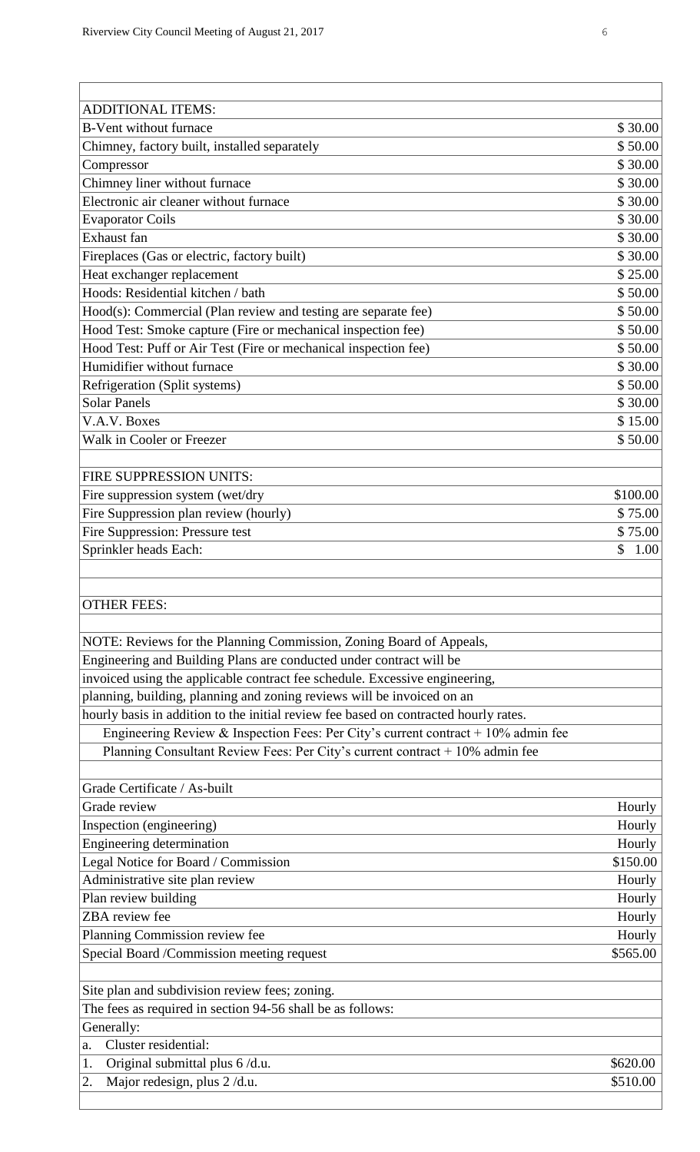$\overline{1}$ 

| <b>ADDITIONAL ITEMS:</b>                                                             |                    |  |
|--------------------------------------------------------------------------------------|--------------------|--|
| <b>B-Vent without furnace</b>                                                        | \$30.00            |  |
| Chimney, factory built, installed separately                                         | \$50.00<br>\$30.00 |  |
| Compressor                                                                           |                    |  |
| Chimney liner without furnace                                                        |                    |  |
| Electronic air cleaner without furnace                                               |                    |  |
| <b>Evaporator Coils</b>                                                              |                    |  |
| Exhaust fan                                                                          |                    |  |
| Fireplaces (Gas or electric, factory built)                                          | \$30.00            |  |
| Heat exchanger replacement                                                           | \$25.00            |  |
| Hoods: Residential kitchen / bath                                                    | \$50.00            |  |
| Hood(s): Commercial (Plan review and testing are separate fee)                       | \$50.00            |  |
| Hood Test: Smoke capture (Fire or mechanical inspection fee)                         | \$50.00            |  |
| Hood Test: Puff or Air Test (Fire or mechanical inspection fee)                      | \$50.00            |  |
| Humidifier without furnace                                                           | \$30.00            |  |
| Refrigeration (Split systems)                                                        | \$50.00            |  |
| <b>Solar Panels</b>                                                                  | \$30.00            |  |
| V.A.V. Boxes                                                                         | \$15.00            |  |
| Walk in Cooler or Freezer                                                            | \$50.00            |  |
|                                                                                      |                    |  |
| FIRE SUPPRESSION UNITS:                                                              |                    |  |
| Fire suppression system (wet/dry                                                     | \$100.00           |  |
| Fire Suppression plan review (hourly)                                                | \$75.00            |  |
| Fire Suppression: Pressure test                                                      | \$75.00            |  |
| Sprinkler heads Each:                                                                | \$<br>1.00         |  |
|                                                                                      |                    |  |
|                                                                                      |                    |  |
|                                                                                      |                    |  |
| <b>OTHER FEES:</b>                                                                   |                    |  |
|                                                                                      |                    |  |
| NOTE: Reviews for the Planning Commission, Zoning Board of Appeals,                  |                    |  |
| Engineering and Building Plans are conducted under contract will be                  |                    |  |
| invoiced using the applicable contract fee schedule. Excessive engineering,          |                    |  |
| planning, building, planning and zoning reviews will be invoiced on an               |                    |  |
| hourly basis in addition to the initial review fee based on contracted hourly rates. |                    |  |
| Engineering Review & Inspection Fees: Per City's current contract + $10\%$ admin fee |                    |  |
| Planning Consultant Review Fees: Per City's current contract + 10% admin fee         |                    |  |
|                                                                                      |                    |  |
| Grade Certificate / As-built                                                         |                    |  |
| Grade review                                                                         | Hourly             |  |
| Inspection (engineering)                                                             | Hourly             |  |
| Engineering determination                                                            | Hourly             |  |
| Legal Notice for Board / Commission                                                  | \$150.00           |  |
| Administrative site plan review                                                      | Hourly             |  |
| Plan review building                                                                 | Hourly             |  |
| ZBA review fee                                                                       | Hourly             |  |
| Planning Commission review fee                                                       | Hourly             |  |
| Special Board /Commission meeting request                                            | \$565.00           |  |
|                                                                                      |                    |  |
| Site plan and subdivision review fees; zoning.                                       |                    |  |
| The fees as required in section 94-56 shall be as follows:                           |                    |  |
| Generally:                                                                           |                    |  |
| Cluster residential:<br>a.                                                           |                    |  |
| Original submittal plus 6/d.u.<br>1.                                                 | \$620.00           |  |
| Major redesign, plus 2 /d.u.<br>2.                                                   | \$510.00           |  |

 $\overline{1}$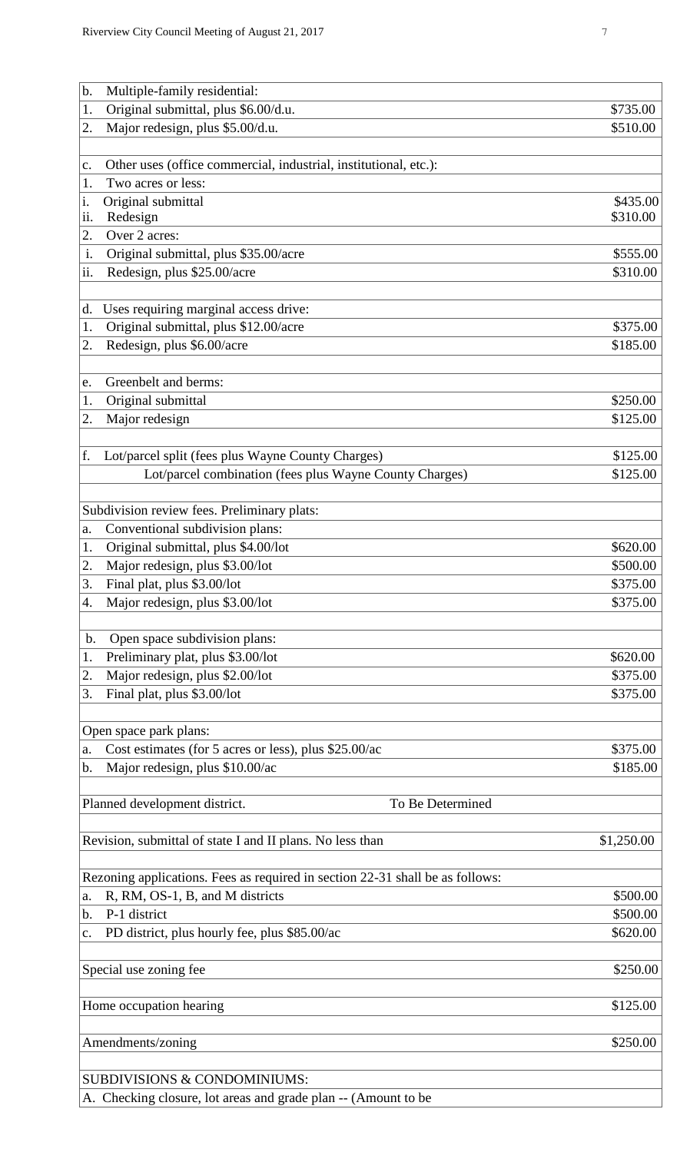|       | Riverview City Council Meeting of August 21, 2017                | 7          |
|-------|------------------------------------------------------------------|------------|
|       |                                                                  |            |
| b.    | Multiple-family residential:                                     |            |
| 1.    | Original submittal, plus \$6.00/d.u.                             | \$735.00   |
| 2.    | Major redesign, plus \$5.00/d.u.                                 | \$510.00   |
| c.    | Other uses (office commercial, industrial, institutional, etc.): |            |
| 1.    | Two acres or less:                                               |            |
| i.    | Original submittal                                               | \$435.00   |
| ii.   | Redesign                                                         | \$310.00   |
| 2.    | Over 2 acres:                                                    |            |
| i.    | Original submittal, plus \$35.00/acre                            | \$555.00   |
| ii.   | Redesign, plus \$25.00/acre                                      | \$310.00   |
| d.    | Uses requiring marginal access drive:                            |            |
| 1.    | Original submittal, plus \$12.00/acre                            | \$375.00   |
| 2.    | Redesign, plus \$6.00/acre                                       | \$185.00   |
| e.    | Greenbelt and berms:                                             |            |
| 1.    | Original submittal                                               | \$250.00   |
| 2.    | Major redesign                                                   | \$125.00   |
| f.    | Lot/parcel split (fees plus Wayne County Charges)                | \$125.00   |
|       | Lot/parcel combination (fees plus Wayne County Charges)          | \$125.00   |
|       | Subdivision review fees. Preliminary plats:                      |            |
|       | a. Conventional subdivision plans:                               |            |
| 1.    | Original submittal, plus \$4.00/lot                              | \$620.00   |
| 2.    | Major redesign, plus \$3.00/lot                                  | \$500.00   |
| 3.    | Final plat, plus \$3.00/lot                                      | \$375.00   |
| 4.    | Major redesign, plus \$3.00/lot                                  | \$375.00   |
| $b$ . | Open space subdivision plans:                                    |            |
| 1.    | Preliminary plat, plus \$3.00/lot                                | \$620.00   |
| 2.    | Major redesign, plus \$2.00/lot                                  | \$375.00   |
| 3.    | Final plat, plus \$3.00/lot                                      | \$375.00   |
|       | Open space park plans:                                           |            |
| a.    | Cost estimates (for 5 acres or less), plus \$25.00/ac            | \$375.00   |
| b.    | Major redesign, plus \$10.00/ac                                  | \$185.00   |
|       | Planned development district.<br>To Be Determined                |            |
|       |                                                                  |            |
|       | Revision, submittal of state I and II plans. No less than        | \$1,250.00 |
|       |                                                                  |            |

| Rezoning applications. Fees as required in section 22-31 shall be as follows: |          |
|-------------------------------------------------------------------------------|----------|
| a. R, RM, OS-1, B, and M districts                                            | \$500.00 |
| b. P-1 district                                                               | \$500.00 |
| c. PD district, plus hourly fee, plus \$85.00/ac                              | \$620.00 |
|                                                                               |          |

Special use zoning fee  $$250.00$ 

Home occupation hearing  $$125.00$ 

Amendments/zoning \$250.00

SUBDIVISIONS & CONDOMINIUMS:

A. Checking closure, lot areas and grade plan -- (Amount to be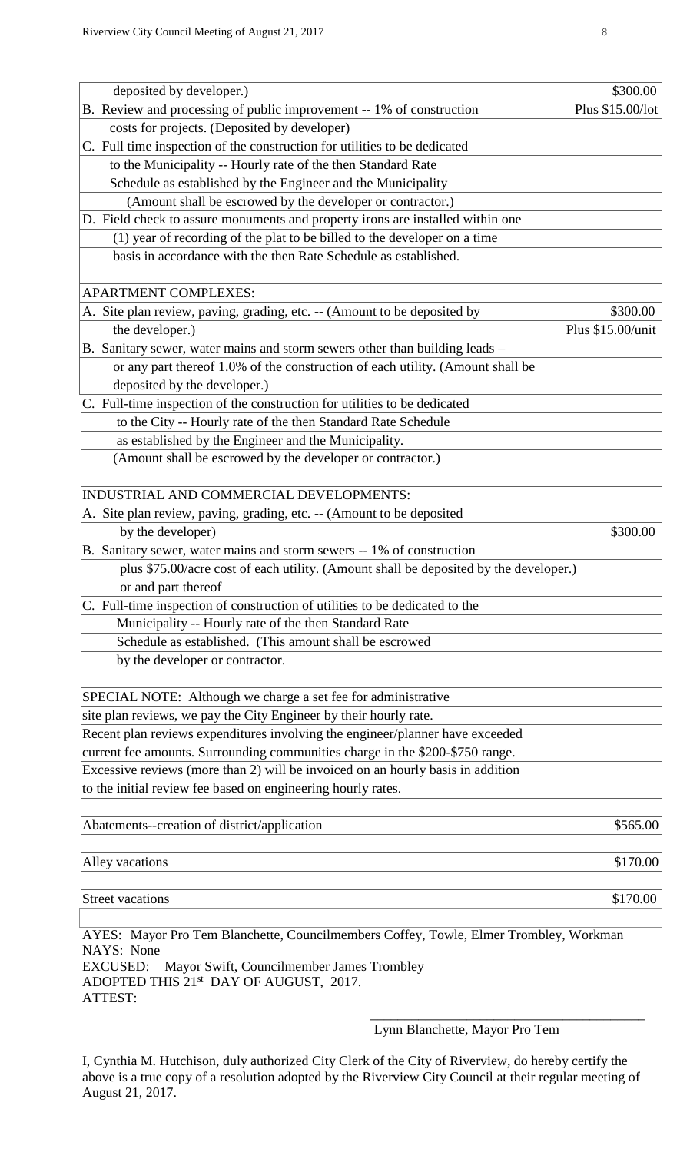| deposited by developer.)                                                                                                                                 | \$300.00          |
|----------------------------------------------------------------------------------------------------------------------------------------------------------|-------------------|
| B. Review and processing of public improvement -- 1% of construction                                                                                     | Plus \$15.00/lot  |
| costs for projects. (Deposited by developer)                                                                                                             |                   |
| C. Full time inspection of the construction for utilities to be dedicated<br>to the Municipality -- Hourly rate of the then Standard Rate                |                   |
|                                                                                                                                                          |                   |
| Schedule as established by the Engineer and the Municipality<br>(Amount shall be escrowed by the developer or contractor.)                               |                   |
| D. Field check to assure monuments and property irons are installed within one                                                                           |                   |
|                                                                                                                                                          |                   |
| (1) year of recording of the plat to be billed to the developer on a time<br>basis in accordance with the then Rate Schedule as established.             |                   |
|                                                                                                                                                          |                   |
| <b>APARTMENT COMPLEXES:</b>                                                                                                                              |                   |
| A. Site plan review, paving, grading, etc. -- (Amount to be deposited by                                                                                 | \$300.00          |
| the developer.)                                                                                                                                          | Plus \$15.00/unit |
| B. Sanitary sewer, water mains and storm sewers other than building leads -                                                                              |                   |
| or any part thereof 1.0% of the construction of each utility. (Amount shall be                                                                           |                   |
| deposited by the developer.)                                                                                                                             |                   |
| C. Full-time inspection of the construction for utilities to be dedicated                                                                                |                   |
| to the City -- Hourly rate of the then Standard Rate Schedule                                                                                            |                   |
| as established by the Engineer and the Municipality.                                                                                                     |                   |
| (Amount shall be escrowed by the developer or contractor.)                                                                                               |                   |
|                                                                                                                                                          |                   |
| INDUSTRIAL AND COMMERCIAL DEVELOPMENTS:                                                                                                                  |                   |
| A. Site plan review, paving, grading, etc. -- (Amount to be deposited                                                                                    |                   |
| by the developer)                                                                                                                                        | \$300.00          |
| B. Sanitary sewer, water mains and storm sewers -- 1% of construction                                                                                    |                   |
| plus \$75.00/acre cost of each utility. (Amount shall be deposited by the developer.)                                                                    |                   |
| or and part thereof                                                                                                                                      |                   |
| C. Full-time inspection of construction of utilities to be dedicated to the                                                                              |                   |
| Municipality -- Hourly rate of the then Standard Rate                                                                                                    |                   |
| Schedule as established. (This amount shall be escrowed                                                                                                  |                   |
| by the developer or contractor.                                                                                                                          |                   |
| SPECIAL NOTE: Although we charge a set fee for administrative                                                                                            |                   |
| site plan reviews, we pay the City Engineer by their hourly rate.                                                                                        |                   |
| Recent plan reviews expenditures involving the engineer/planner have exceeded                                                                            |                   |
| current fee amounts. Surrounding communities charge in the \$200-\$750 range.                                                                            |                   |
| Excessive reviews (more than 2) will be invoiced on an hourly basis in addition                                                                          |                   |
| to the initial review fee based on engineering hourly rates.                                                                                             |                   |
|                                                                                                                                                          |                   |
| Abatements--creation of district/application                                                                                                             | \$565.00          |
| Alley vacations                                                                                                                                          | \$170.00          |
| <b>Street vacations</b>                                                                                                                                  | \$170.00          |
| AYES: Mayor Pro Tem Blanchette, Councilmembers Coffey, Towle, Elmer Trombley, Workman<br>NAYS: None<br>EXCUSED: Mayor Swift Councilmember James Trombley |                   |

Wift, Councilmember James Trombley ADOPTED THIS 21st DAY OF AUGUST, 2017. ATTEST:  $\overline{\phantom{a}}$  , which is a set of the set of the set of the set of the set of the set of the set of the set of the set of the set of the set of the set of the set of the set of the set of the set of the set of the set of th

Lynn Blanchette, Mayor Pro Tem

I, Cynthia M. Hutchison, duly authorized City Clerk of the City of Riverview, do hereby certify the above is a true copy of a resolution adopted by the Riverview City Council at their regular meeting of August 21, 2017.